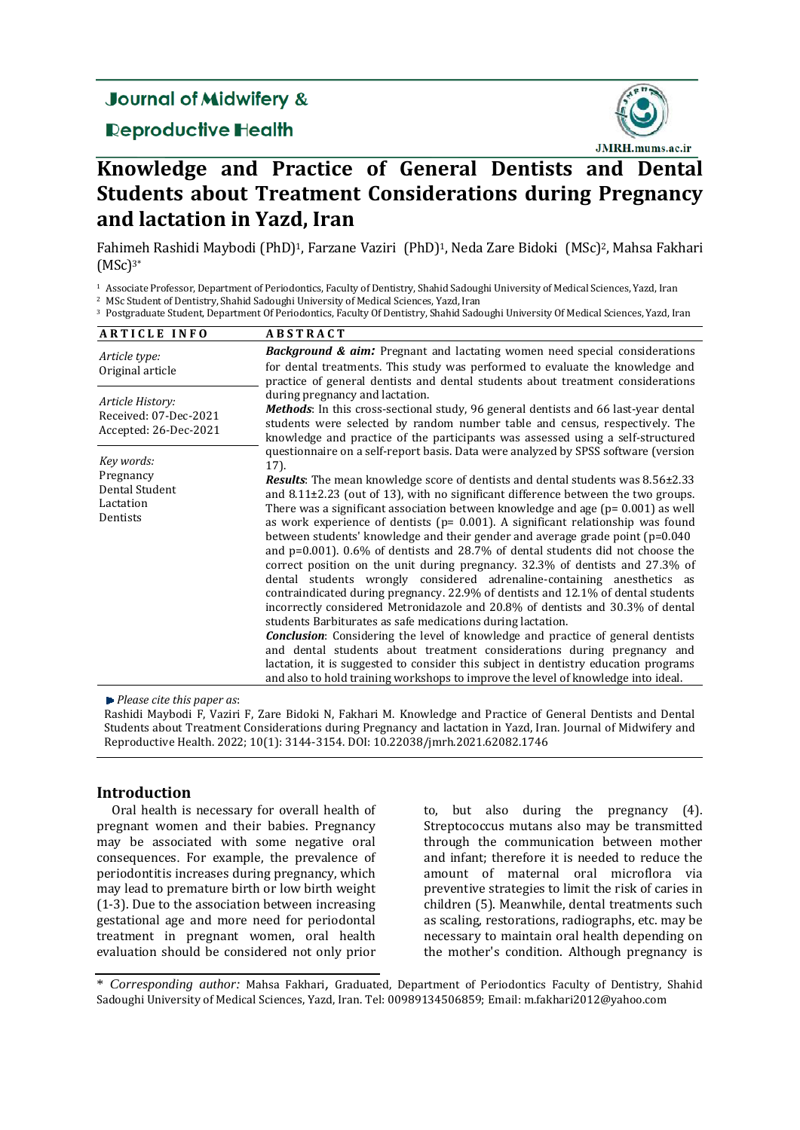# **Journal of Midwifery &**

# **Reproductive Health**



# **Knowledge and Practice of General Dentists and Dental Students about Treatment Considerations during Pregnancy and lactation in Yazd, Iran**

Fahimeh Rashidi Maybodi (PhD)<sup>1</sup>, Farzane Vaziri (PhD)<sup>1</sup>, Neda Zare Bidoki (MSc)<sup>2</sup>, Mahsa Fakhari  $(MSc)<sup>3*</sup>$ 

<sup>1</sup> Associate Professor, Department of Periodontics, Faculty of Dentistry, Shahid Sadoughi University of Medical Sciences, Yazd, Iran

<sup>2</sup> MSc Student of Dentistry, Shahid Sadoughi University of Medical Sciences, Yazd, Iran

<sup>3</sup> Postgraduate Student, Department Of Periodontics, Faculty Of Dentistry, Shahid Sadoughi University Of Medical Sciences, Yazd, Iran

| <b>ARTICLE INFO</b>                                                | <b>ABSTRACT</b>                                                                                                                                                                                                                                                                                                                                                                                                                                                                                                                                                                                                                                                                                                                                                                                                                                                                                                                                                                                                                                                                                                                                                                                                                                                                                                                                                                           |
|--------------------------------------------------------------------|-------------------------------------------------------------------------------------------------------------------------------------------------------------------------------------------------------------------------------------------------------------------------------------------------------------------------------------------------------------------------------------------------------------------------------------------------------------------------------------------------------------------------------------------------------------------------------------------------------------------------------------------------------------------------------------------------------------------------------------------------------------------------------------------------------------------------------------------------------------------------------------------------------------------------------------------------------------------------------------------------------------------------------------------------------------------------------------------------------------------------------------------------------------------------------------------------------------------------------------------------------------------------------------------------------------------------------------------------------------------------------------------|
| Article type:<br>Original article                                  | <b>Background &amp; aim:</b> Pregnant and lactating women need special considerations<br>for dental treatments. This study was performed to evaluate the knowledge and<br>practice of general dentists and dental students about treatment considerations                                                                                                                                                                                                                                                                                                                                                                                                                                                                                                                                                                                                                                                                                                                                                                                                                                                                                                                                                                                                                                                                                                                                 |
| Article History:<br>Received: 07-Dec-2021<br>Accepted: 26-Dec-2021 | during pregnancy and lactation.<br><b>Methods</b> : In this cross-sectional study, 96 general dentists and 66 last-year dental<br>students were selected by random number table and census, respectively. The<br>knowledge and practice of the participants was assessed using a self-structured                                                                                                                                                                                                                                                                                                                                                                                                                                                                                                                                                                                                                                                                                                                                                                                                                                                                                                                                                                                                                                                                                          |
| Key words:<br>Pregnancy<br>Dental Student<br>Lactation<br>Dentists | questionnaire on a self-report basis. Data were analyzed by SPSS software (version<br>17).<br><b>Results:</b> The mean knowledge score of dentists and dental students was 8.56±2.33<br>and $8.11\pm2.23$ (out of 13), with no significant difference between the two groups.<br>There was a significant association between knowledge and age ( $p = 0.001$ ) as well<br>as work experience of dentists ( $p = 0.001$ ). A significant relationship was found<br>between students' knowledge and their gender and average grade point $(p=0.040)$<br>and $p=0.001$ ). 0.6% of dentists and 28.7% of dental students did not choose the<br>correct position on the unit during pregnancy. 32.3% of dentists and 27.3% of<br>dental students wrongly considered adrenaline-containing anesthetics as<br>contraindicated during pregnancy. 22.9% of dentists and 12.1% of dental students<br>incorrectly considered Metronidazole and 20.8% of dentists and 30.3% of dental<br>students Barbiturates as safe medications during lactation.<br><b>Conclusion:</b> Considering the level of knowledge and practice of general dentists<br>and dental students about treatment considerations during pregnancy and<br>lactation, it is suggested to consider this subject in dentistry education programs<br>and also to hold training workshops to improve the level of knowledge into ideal. |

*Please cite this paper as*: 

Rashidi Maybodi F, Vaziri F, Zare Bidoki N, Fakhari M. Knowledge and Practice of General Dentists and Dental Students about Treatment Considerations during Pregnancy and lactation in Yazd, Iran. Journal of Midwifery and Reproductive Health. 2022; 10(1): 3144-3154. DOI: 10.22038/jmrh.2021.62082.1746

# **Introduction**

Oral health is necessary for overall health of pregnant women and their babies. Pregnancy may be associated with some negative oral consequences. For example, the prevalence of periodontitis increases during pregnancy, which may lead to premature birth or low birth weight  $(1-3)$ . Due to the association between increasing gestational age and more need for periodontal treatment in pregnant women, oral health evaluation should be considered not only prior

to, but also during the pregnancy (4). Streptococcus mutans also may be transmitted through the communication between mother and infant; therefore it is needed to reduce the amount of maternal oral microflora via preventive strategies to limit the risk of caries in children (5). Meanwhile, dental treatments such as scaling, restorations, radiographs, etc. may be necessary to maintain oral health depending on the mother's condition. Although pregnancy is

\* *Corresponding author:* Mahsa Fakhari, Graduated, Department of Periodontics Faculty of Dentistry, Shahid Sadoughi University of Medical Sciences, Yazd, Iran. Tel: 00989134506859; Email: m.fakhari2012@yahoo.com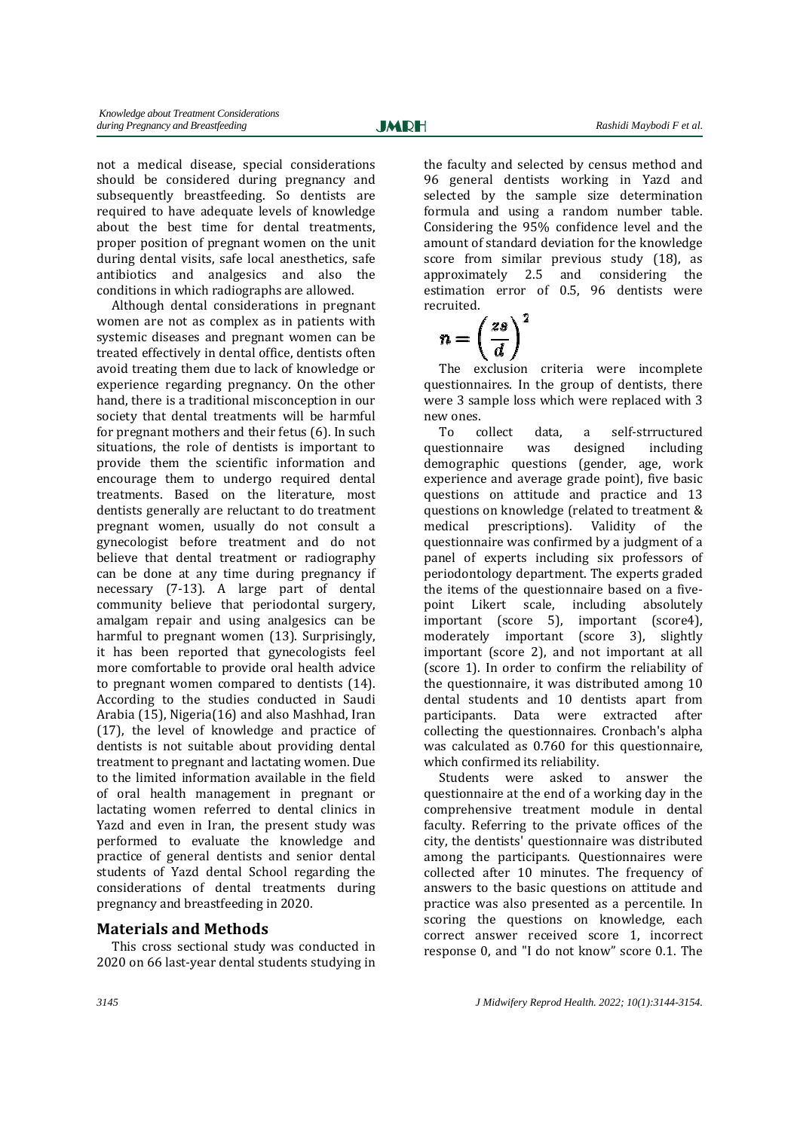Ī

not a medical disease, special considerations should be considered during pregnancy and subsequently breastfeeding. So dentists are required to have adequate levels of knowledge about the best time for dental treatments, proper position of pregnant women on the unit during dental visits, safe local anesthetics, safe antibiotics and analgesics and also the conditions in which radiographs are allowed.

Although dental considerations in pregnant women are not as complex as in patients with systemic diseases and pregnant women can be treated effectively in dental office, dentists often avoid treating them due to lack of knowledge or experience regarding pregnancy. On the other hand, there is a traditional misconception in our society that dental treatments will be harmful for pregnant mothers and their fetus  $(6)$ . In such situations, the role of dentists is important to provide them the scientific information and encourage them to undergo required dental treatments. Based on the literature, most dentists generally are reluctant to do treatment pregnant women, usually do not consult a gynecologist before treatment and do not believe that dental treatment or radiography can be done at any time during pregnancy if necessary (7-13). A large part of dental community believe that periodontal surgery, amalgam repair and using analgesics can be harmful to pregnant women (13). Surprisingly, it has been reported that gynecologists feel more comfortable to provide oral health advice to pregnant women compared to dentists  $(14)$ . According to the studies conducted in Saudi Arabia  $(15)$ , Nigeria $(16)$  and also Mashhad, Iran  $(17)$ , the level of knowledge and practice of dentists is not suitable about providing dental treatment to pregnant and lactating women. Due to the limited information available in the field of oral health management in pregnant or lactating women referred to dental clinics in Yazd and even in Iran, the present study was performed to evaluate the knowledge and practice of general dentists and senior dental students of Yazd dental School regarding the considerations of dental treatments during pregnancy and breastfeeding in 2020.

# **Materials and Methods**

This cross sectional study was conducted in 2020 on 66 last-year dental students studying in the faculty and selected by census method and 96 general dentists working in Yazd and selected by the sample size determination formula and using a random number table. Considering the 95% confidence level and the amount of standard deviation for the knowledge score from similar previous study (18), as approximately 2.5 and considering the estimation error of 0.5, 96 dentists were recruited.

$$
n = \left(\frac{zs}{d}\right)^2
$$

The exclusion criteria were incomplete questionnaires. In the group of dentists, there were 3 sample loss which were replaced with 3 new ones.

To collect data, a self-strructured questionnaire was designed including demographic questions (gender, age, work experience and average grade point), five basic questions on attitude and practice and 13 questions on knowledge (related to treatment & medical prescriptions). Validity of the questionnaire was confirmed by a judgment of a panel of experts including six professors of periodontology department. The experts graded the items of the questionnaire based on a fivepoint Likert scale, including absolutely important (score 5), important (score4), moderately important (score 3), slightly important (score 2), and not important at all (score 1). In order to confirm the reliability of the questionnaire, it was distributed among 10 dental students and 10 dentists apart from participants. Data were extracted after collecting the questionnaires. Cronbach's alpha was calculated as 0.760 for this questionnaire, which confirmed its reliability.

Students were asked to answer the questionnaire at the end of a working day in the comprehensive treatment module in dental faculty. Referring to the private offices of the city, the dentists' questionnaire was distributed among the participants. Questionnaires were collected after 10 minutes. The frequency of answers to the basic questions on attitude and practice was also presented as a percentile. In scoring the questions on knowledge, each correct answer received score 1, incorrect response 0, and "I do not know" score 0.1. The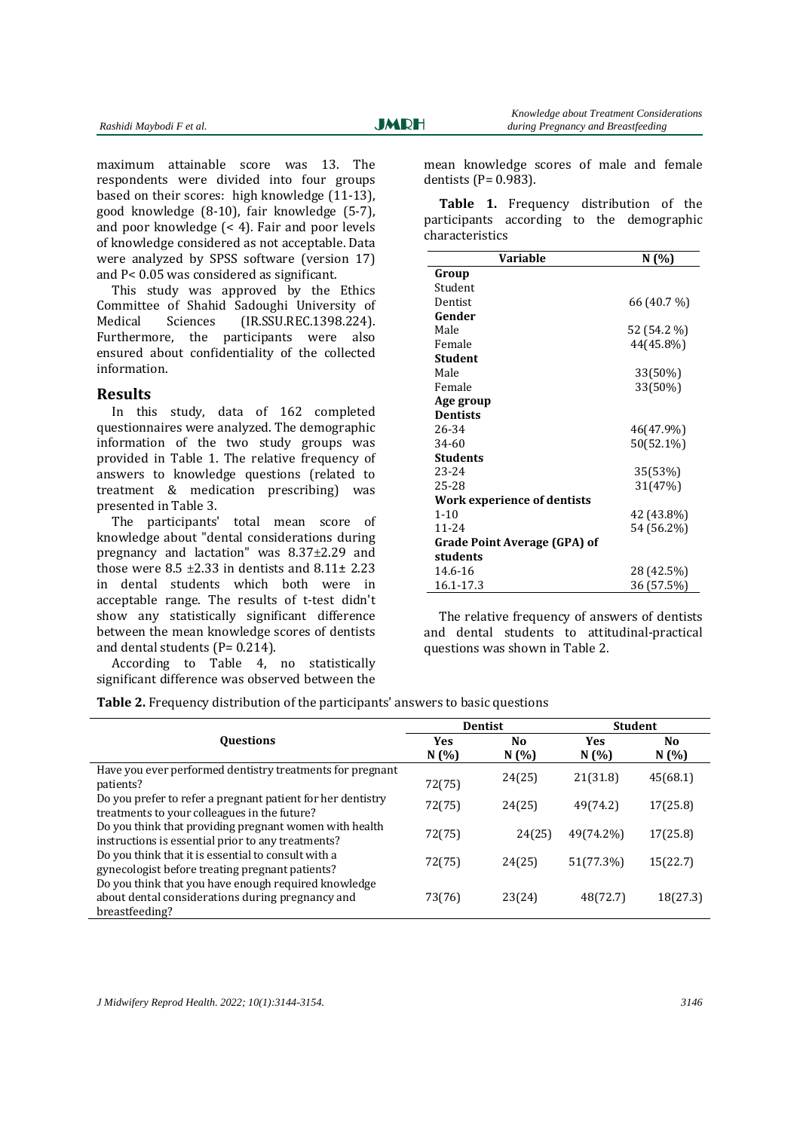maximum attainable score was 13. The respondents were divided into four groups based on their scores: high knowledge  $(11-13)$ , good knowledge (8-10), fair knowledge (5-7), and poor knowledge  $($  < 4 $)$ . Fair and poor levels of knowledge considered as not acceptable. Data were analyzed by SPSS software (version 17) and  $P < 0.05$  was considered as significant.

This study was approved by the Ethics Committee of Shahid Sadoughi University of Medical Sciences (IR.SSU.REC.1398.224). Furthermore, the participants were also ensured about confidentiality of the collected information. 

### **Results**

In this study, data of 162 completed questionnaires were analyzed. The demographic information of the two study groups was provided in Table 1. The relative frequency of answers to knowledge questions (related to treatment & medication prescribing) was presented in Table 3.

The participants' total mean score of knowledge about "dental considerations during pregnancy and lactation" was  $8.37\pm2.29$  and those were  $8.5 \pm 2.33$  in dentists and  $8.11 \pm 2.23$ in dental students which both were in acceptable range. The results of t-test didn't show any statistically significant difference between the mean knowledge scores of dentists and dental students  $(P= 0.214)$ .

According to Table 4, no statistically significant difference was observed between the mean knowledge scores of male and female dentists  $(P= 0.983)$ .

Table 1. Frequency distribution of the participants according to the demographic characteristics

| Variable                            | N (%)       |
|-------------------------------------|-------------|
| Group                               |             |
| Student                             |             |
| Dentist                             | 66 (40.7 %) |
| Gender                              |             |
| Male                                | 52 (54.2 %) |
| Female                              | 44(45.8%)   |
| Student                             |             |
| Male                                | 33(50%)     |
| Female                              | 33(50%)     |
| Age group                           |             |
| <b>Dentists</b>                     |             |
| 26-34                               | 46(47.9%)   |
| 34-60                               | 50(52.1%)   |
| <b>Students</b>                     |             |
| 23-24                               | 35(53%)     |
| 25-28                               | 31(47%)     |
| Work experience of dentists         |             |
| $1 - 10$                            | 42 (43.8%)  |
| $11 - 24$                           | 54 (56.2%)  |
| <b>Grade Point Average (GPA) of</b> |             |
| students                            |             |
| 14.6-16                             | 28 (42.5%)  |
| 16.1-17.3                           | 36 (57.5%)  |

The relative frequency of answers of dentists and dental students to attitudinal-practical questions was shown in Table 2.

**Table 2.** Frequency distribution of the participants' answers to basic questions

|                                                             | <b>Dentist</b> |        | <b>Student</b> |          |
|-------------------------------------------------------------|----------------|--------|----------------|----------|
| <b>Ouestions</b>                                            | <b>Yes</b>     | No.    | <b>Yes</b>     | No       |
|                                                             | N(%)           | N(%)   | N(%)           | N(%)     |
| Have you ever performed dentistry treatments for pregnant   |                | 24(25) | 21(31.8)       | 45(68.1) |
| patients?                                                   | 72(75)         |        |                |          |
| Do you prefer to refer a pregnant patient for her dentistry | 72(75)         | 24(25) | 49(74.2)       | 17(25.8) |
| treatments to your colleagues in the future?                |                |        |                |          |
| Do you think that providing pregnant women with health      | 72(75)         | 24(25) | 49(74.2%)      | 17(25.8) |
| instructions is essential prior to any treatments?          |                |        |                |          |
| Do you think that it is essential to consult with a         | 72(75)         | 24(25) | 51(77.3%)      | 15(22.7) |
| gynecologist before treating pregnant patients?             |                |        |                |          |
| Do you think that you have enough required knowledge        |                |        |                |          |
| about dental considerations during pregnancy and            | 73(76)         | 23(24) | 48(72.7)       | 18(27.3) |
| breastfeeding?                                              |                |        |                |          |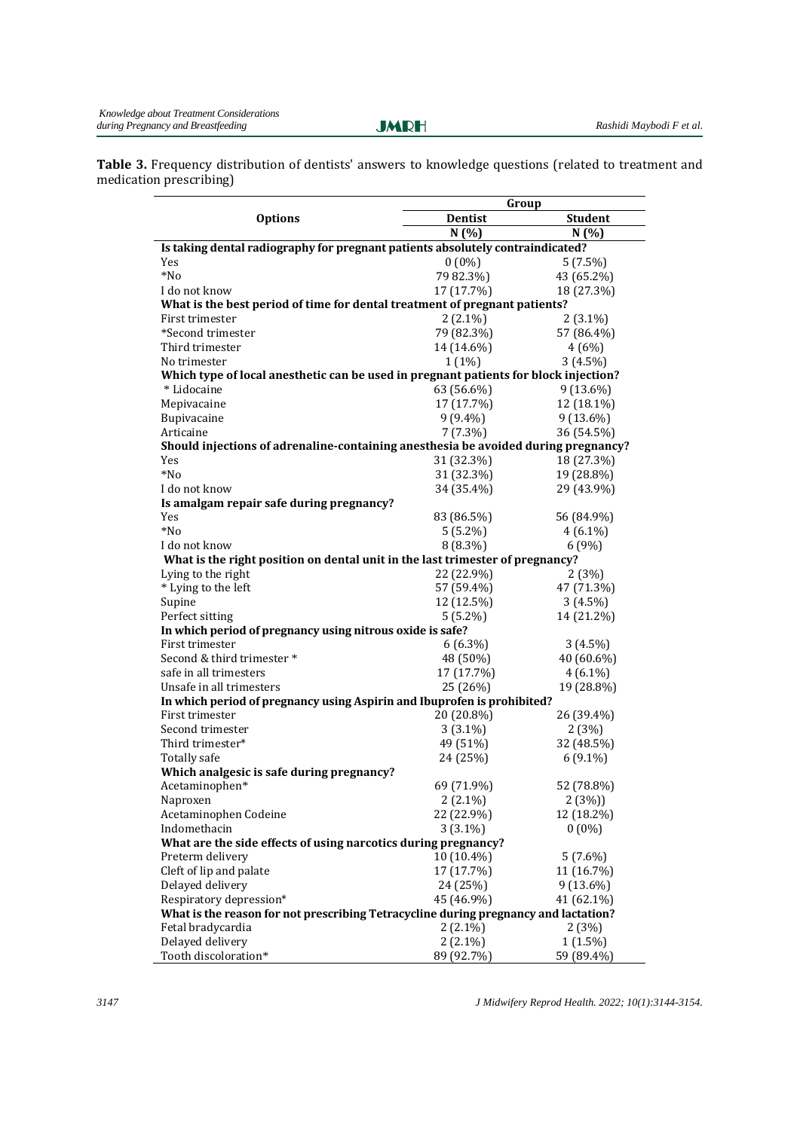Ī

Table 3. Frequency distribution of dentists' answers to knowledge questions (related to treatment and medication prescribing)

|                                                                                      | Group          |                |  |  |
|--------------------------------------------------------------------------------------|----------------|----------------|--|--|
| <b>Options</b>                                                                       | <b>Dentist</b> | <b>Student</b> |  |  |
|                                                                                      | N(%)           | N(%)           |  |  |
| Is taking dental radiography for pregnant patients absolutely contraindicated?       |                |                |  |  |
| Yes                                                                                  | $0(0\%)$       | $5(7.5\%)$     |  |  |
| $*No$                                                                                | 79 82.3%)      | 43 (65.2%)     |  |  |
| I do not know                                                                        | 17 (17.7%)     | 18 (27.3%)     |  |  |
| What is the best period of time for dental treatment of pregnant patients?           |                |                |  |  |
| First trimester                                                                      | $2(2.1\%)$     | $2(3.1\%)$     |  |  |
| *Second trimester                                                                    | 79 (82.3%)     | 57 (86.4%)     |  |  |
| Third trimester                                                                      | 14 (14.6%)     | 4(6%)          |  |  |
| No trimester                                                                         | $1(1\%)$       | $3(4.5\%)$     |  |  |
| Which type of local anesthetic can be used in pregnant patients for block injection? |                |                |  |  |
| * Lidocaine                                                                          | 63 (56.6%)     | $9(13.6\%)$    |  |  |
| Mepivacaine                                                                          | 17 (17.7%)     | 12 (18.1%)     |  |  |
| Bupivacaine                                                                          | $9(9.4\%)$     | 9 (13.6%)      |  |  |
| Articaine                                                                            | $7(7.3\%)$     | 36 (54.5%)     |  |  |
| Should injections of adrenaline-containing anesthesia be avoided during pregnancy?   |                |                |  |  |
| Yes                                                                                  | 31 (32.3%)     | 18 (27.3%)     |  |  |
| *No                                                                                  | 31 (32.3%)     | 19 (28.8%)     |  |  |
| I do not know                                                                        | 34 (35.4%)     | 29 (43.9%)     |  |  |
| Is amalgam repair safe during pregnancy?                                             |                |                |  |  |
| Yes                                                                                  | 83 (86.5%)     | 56 (84.9%)     |  |  |
| *No                                                                                  | $5(5.2\%)$     | $4(6.1\%)$     |  |  |
| I do not know                                                                        | 8 (8.3%)       | 6 (9%)         |  |  |
| What is the right position on dental unit in the last trimester of pregnancy?        |                |                |  |  |
| Lying to the right                                                                   | 22 (22.9%)     | 2(3%)          |  |  |
| * Lying to the left                                                                  | 57 (59.4%)     | 47 (71.3%)     |  |  |
| Supine                                                                               | 12 (12.5%)     | $3(4.5\%)$     |  |  |
| Perfect sitting                                                                      | $5(5.2\%)$     | 14 (21.2%)     |  |  |
| In which period of pregnancy using nitrous oxide is safe?                            |                |                |  |  |
| First trimester                                                                      | $6(6.3\%)$     | $3(4.5\%)$     |  |  |
| Second & third trimester *                                                           | 48 (50%)       | 40 (60.6%)     |  |  |
| safe in all trimesters                                                               | 17 (17.7%)     | $4(6.1\%)$     |  |  |
| Unsafe in all trimesters                                                             | 25 (26%)       | 19 (28.8%)     |  |  |
| In which period of pregnancy using Aspirin and Ibuprofen is prohibited?              |                |                |  |  |
| First trimester                                                                      | 20 (20.8%)     | 26 (39.4%)     |  |  |
| Second trimester                                                                     | $3(3.1\%)$     | 2(3%)          |  |  |
| Third trimester*                                                                     | 49 (51%)       | 32 (48.5%)     |  |  |
| <b>Totally safe</b>                                                                  | 24 (25%)       | $6(9.1\%)$     |  |  |
| Which analgesic is safe during pregnancy?                                            |                |                |  |  |
| Acetaminophen*                                                                       | 69 (71.9%)     | 52 (78.8%)     |  |  |
| Naproxen                                                                             | $2(2.1\%)$     | 2(3%)          |  |  |
| Acetaminophen Codeine                                                                | 22 (22.9%)     | 12 (18.2%)     |  |  |
| Indomethacin                                                                         | $3(3.1\%)$     | $0(0\%)$       |  |  |
| What are the side effects of using narcotics during pregnancy?                       |                |                |  |  |
| Preterm delivery                                                                     | 10 (10.4%)     | $5(7.6\%)$     |  |  |
| Cleft of lip and palate                                                              | 17 (17.7%)     | 11 (16.7%)     |  |  |
| Delayed delivery                                                                     | 24 (25%)       | $9(13.6\%)$    |  |  |
| Respiratory depression*                                                              | 45 (46.9%)     | 41 (62.1%)     |  |  |
| What is the reason for not prescribing Tetracycline during pregnancy and lactation?  |                |                |  |  |
| Fetal bradycardia                                                                    | $2(2.1\%)$     | 2(3%)          |  |  |
| Delayed delivery                                                                     | $2(2.1\%)$     | $1(1.5\%)$     |  |  |
| Tooth discoloration*                                                                 | 89 (92.7%)     | 59 (89.4%)     |  |  |

*3147 J Midwifery Reprod Health. 2022; 10(1):3144-3154.*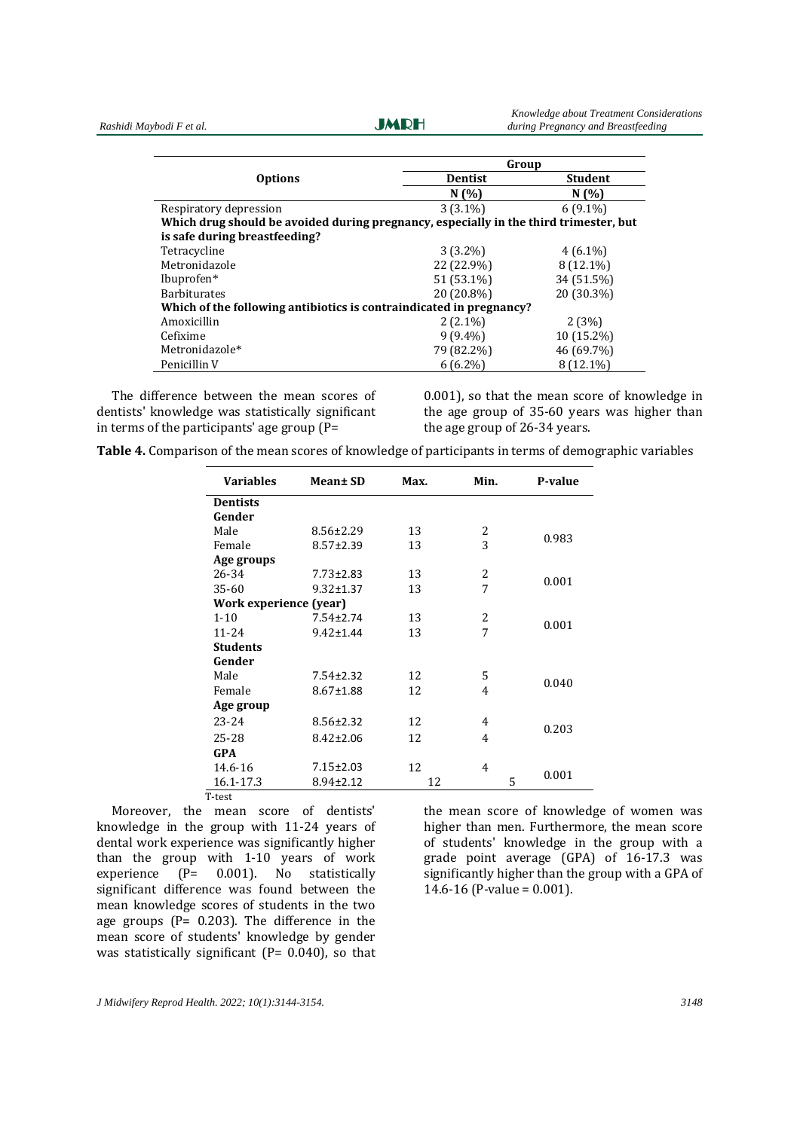**JMRH** 

|                                                                                       | Group          |                |  |  |
|---------------------------------------------------------------------------------------|----------------|----------------|--|--|
| <b>Options</b>                                                                        | <b>Dentist</b> | <b>Student</b> |  |  |
|                                                                                       | N(%            | N(%            |  |  |
| Respiratory depression                                                                | $3(3.1\%)$     | $6(9.1\%)$     |  |  |
| Which drug should be avoided during pregnancy, especially in the third trimester, but |                |                |  |  |
| is safe during breastfeeding?                                                         |                |                |  |  |
| Tetracycline                                                                          | $3(3.2\%)$     | $4(6.1\%)$     |  |  |
| Metronidazole                                                                         | 22 (22.9%)     | 8 (12.1%)      |  |  |
| Ibuprofen*                                                                            | 51 (53.1%)     | 34 (51.5%)     |  |  |
| <b>Barbiturates</b>                                                                   | 20 (20.8%)     | 20 (30.3%)     |  |  |
| Which of the following antibiotics is contraindicated in pregnancy?                   |                |                |  |  |
| Amoxicillin                                                                           | $2(2.1\%)$     | 2(3%)          |  |  |
| Cefixime                                                                              | $9(9.4\%)$     | 10 (15.2%)     |  |  |
| Metronidazole*                                                                        | 79 (82.2%)     | 46 (69.7%)     |  |  |
| Penicillin V                                                                          | $6(6.2\%)$     | 8 (12.1%)      |  |  |

The difference between the mean scores of dentists' knowledge was statistically significant in terms of the participants' age group  $(P=$ 

 $0.001$ ), so that the mean score of knowledge in the age group of  $35-60$  years was higher than the age group of  $26-34$  years.

|  |  | Table 4. Comparison of the mean scores of knowledge of participants in terms of demographic variables |  |
|--|--|-------------------------------------------------------------------------------------------------------|--|
|  |  |                                                                                                       |  |

| <b>Variables</b>       | Mean± SD        | Max. | Min. | P-value |  |
|------------------------|-----------------|------|------|---------|--|
| <b>Dentists</b>        |                 |      |      |         |  |
| Gender                 |                 |      |      |         |  |
| Male                   | $8.56 \pm 2.29$ | 13   | 2    |         |  |
| Female                 | $8.57 \pm 2.39$ | 13   | 3    | 0.983   |  |
| Age groups             |                 |      |      |         |  |
| 26-34                  | $7.73 \pm 2.83$ | 13   | 2    |         |  |
| 35-60                  | $9.32 \pm 1.37$ | 13   | 7    | 0.001   |  |
| Work experience (year) |                 |      |      |         |  |
| $1 - 10$               | 7.54±2.74       | 13   | 2    |         |  |
| $11 - 24$              | $9.42 \pm 1.44$ | 13   | 7    | 0.001   |  |
| <b>Students</b>        |                 |      |      |         |  |
| Gender                 |                 |      |      |         |  |
| Male                   | $7.54 \pm 2.32$ | 12   | 5    |         |  |
| Female                 | $8.67 \pm 1.88$ | 12   | 4    | 0.040   |  |
| Age group              |                 |      |      |         |  |
| $23 - 24$              | $8.56 \pm 2.32$ | 12   | 4    | 0.203   |  |
| 25-28                  | $8.42 \pm 2.06$ | 12   | 4    |         |  |
| GPA                    |                 |      |      |         |  |
| 14.6-16                | $7.15 \pm 2.03$ | 12   | 4    |         |  |
| 16.1-17.3              | 8.94±2.12       | 12   | 5    | 0.001   |  |

Moreover, the mean score of dentists' knowledge in the group with  $11-24$  years of dental work experience was significantly higher than the group with  $1-10$  years of work experience  $(P= 0.001)$ . No statistically significant difference was found between the mean knowledge scores of students in the two age groups ( $P = 0.203$ ). The difference in the mean score of students' knowledge by gender was statistically significant  $(P= 0.040)$ , so that

the mean score of knowledge of women was higher than men. Furthermore, the mean score of students' knowledge in the group with a grade point average  $(GPA)$  of  $16-17.3$  was significantly higher than the group with a GPA of  $14.6 - 16$  (P-value = 0.001).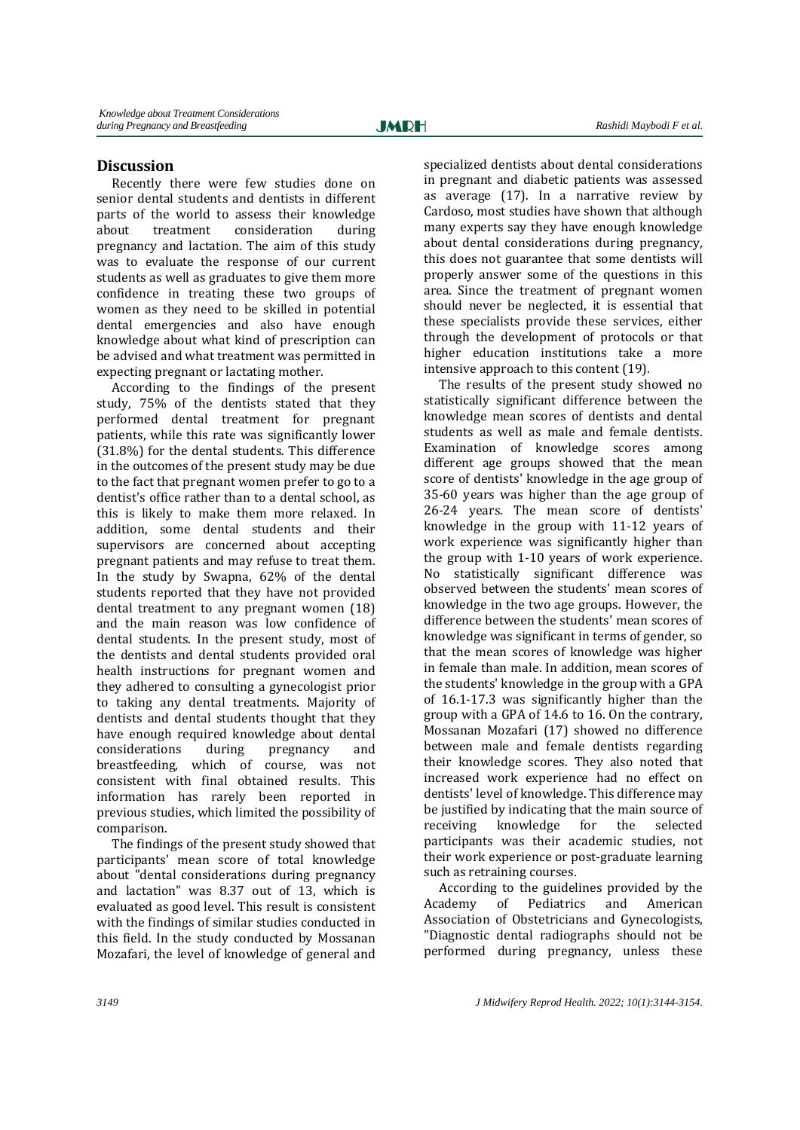Ī

# **Discussion**

Recently there were few studies done on senior dental students and dentists in different parts of the world to assess their knowledge about treatment consideration during pregnancy and lactation. The aim of this study was to evaluate the response of our current students as well as graduates to give them more confidence in treating these two groups of women as they need to be skilled in potential dental emergencies and also have enough knowledge about what kind of prescription can be advised and what treatment was permitted in expecting pregnant or lactating mother.

According to the findings of the present study, 75% of the dentists stated that they performed dental treatment for pregnant patients, while this rate was significantly lower (31.8%) for the dental students. This difference in the outcomes of the present study may be due to the fact that pregnant women prefer to go to a dentist's office rather than to a dental school, as this is likely to make them more relaxed. In addition, some dental students and their supervisors are concerned about accepting pregnant patients and may refuse to treat them. In the study by Swapna,  $62\%$  of the dental students reported that they have not provided dental treatment to any pregnant women (18) and the main reason was low confidence of dental students. In the present study, most of the dentists and dental students provided oral health instructions for pregnant women and they adhered to consulting a gynecologist prior to taking any dental treatments. Majority of dentists and dental students thought that they have enough required knowledge about dental considerations during pregnancy and breastfeeding, which of course, was not consistent with final obtained results. This information has rarely been reported in previous studies, which limited the possibility of comparison.

The findings of the present study showed that participants' mean score of total knowledge about "dental considerations during pregnancy and lactation" was 8.37 out of 13, which is evaluated as good level. This result is consistent with the findings of similar studies conducted in this field. In the study conducted by Mossanan Mozafari, the level of knowledge of general and

specialized dentists about dental considerations in pregnant and diabetic patients was assessed as average  $(17)$ . In a narrative review by Cardoso, most studies have shown that although many experts say they have enough knowledge about dental considerations during pregnancy, this does not guarantee that some dentists will properly answer some of the questions in this area. Since the treatment of pregnant women should never be neglected, it is essential that these specialists provide these services, either through the development of protocols or that higher education institutions take a more intensive approach to this content (19).

The results of the present study showed no statistically significant difference between the knowledge mean scores of dentists and dental students as well as male and female dentists. Examination of knowledge scores among different age groups showed that the mean score of dentists' knowledge in the age group of 35-60 years was higher than the age group of 26-24 years. The mean score of dentists' knowledge in the group with 11-12 years of work experience was significantly higher than the group with  $1-10$  vears of work experience. No statistically significant difference was observed between the students' mean scores of knowledge in the two age groups. However, the difference between the students' mean scores of knowledge was significant in terms of gender, so that the mean scores of knowledge was higher in female than male. In addition, mean scores of the students' knowledge in the group with a GPA of  $16.1 - 17.3$  was significantly higher than the group with a GPA of  $14.6$  to  $16.$  On the contrary, Mossanan Mozafari (17) showed no difference between male and female dentists regarding their knowledge scores. They also noted that increased work experience had no effect on dentists' level of knowledge. This difference may be justified by indicating that the main source of receiving knowledge for the selected participants was their academic studies, not their work experience or post-graduate learning such as retraining courses.

According to the guidelines provided by the Academy of Pediatrics and American Association of Obstetricians and Gynecologists, "Diagnostic dental radiographs should not be performed during pregnancy, unless these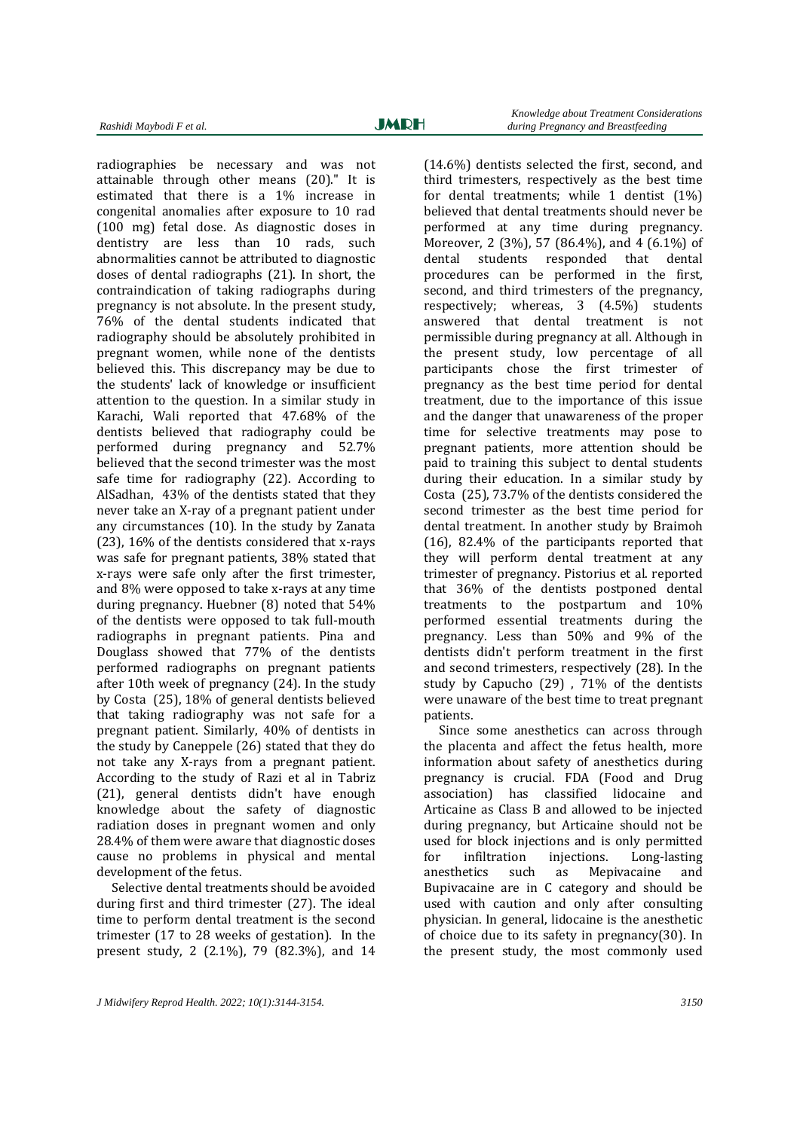radiographies be necessary and was not attainable through other means (20)." It is estimated that there is a 1% increase in congenital anomalies after exposure to 10 rad (100 mg) fetal dose. As diagnostic doses in dentistry are less than 10 rads, such abnormalities cannot be attributed to diagnostic doses of dental radiographs (21). In short, the contraindication of taking radiographs during pregnancy is not absolute. In the present study, 76% of the dental students indicated that radiography should be absolutely prohibited in pregnant women, while none of the dentists believed this. This discrepancy may be due to the students' lack of knowledge or insufficient attention to the question. In a similar study in Karachi, Wali reported that 47.68% of the dentists believed that radiography could be performed during pregnancy and 52.7% believed that the second trimester was the most safe time for radiography (22). According to AlSadhan,  $43\%$  of the dentists stated that they never take an X-ray of a pregnant patient under any circumstances  $(10)$ . In the study by Zanata (23),  $16\%$  of the dentists considered that x-rays was safe for pregnant patients, 38% stated that x-rays were safe only after the first trimester, and 8% were opposed to take x-rays at any time during pregnancy. Huebner  $(8)$  noted that  $54\%$ of the dentists were opposed to tak full-mouth radiographs in pregnant patients. Pina and Douglass showed that 77% of the dentists performed radiographs on pregnant patients after 10th week of pregnancy  $(24)$ . In the study by Costa (25), 18% of general dentists believed that taking radiography was not safe for a pregnant patient. Similarly, 40% of dentists in the study by Caneppele  $(26)$  stated that they do not take any X-rays from a pregnant patient. According to the study of Razi et al in Tabriz (21), general dentists didn't have enough knowledge about the safety of diagnostic radiation doses in pregnant women and only 28.4% of them were aware that diagnostic doses cause no problems in physical and mental development of the fetus.

Selective dental treatments should be avoided during first and third trimester  $(27)$ . The ideal time to perform dental treatment is the second trimester  $(17 \text{ to } 28 \text{ weeks of gestation})$ . In the present study, 2  $(2.1\%)$ , 79  $(82.3\%)$ , and 14  $(14.6\%)$  dentists selected the first, second, and third trimesters, respectively as the best time for dental treatments; while 1 dentist  $(1%)$ believed that dental treatments should never be performed at any time during pregnancy. Moreover, 2  $(3%)$ , 57  $(86.4%)$ , and 4  $(6.1%)$  of dental students responded that dental procedures can be performed in the first, second, and third trimesters of the pregnancy, respectively; whereas,  $3(4.5\%)$  students answered that dental treatment is not permissible during pregnancy at all. Although in the present study, low percentage of all participants chose the first trimester of pregnancy as the best time period for dental treatment, due to the importance of this issue and the danger that unawareness of the proper time for selective treatments may pose to pregnant patients, more attention should be paid to training this subject to dental students during their education. In a similar study by Costa (25), 73.7% of the dentists considered the second trimester as the best time period for dental treatment. In another study by Braimoh  $(16)$ , 82.4% of the participants reported that they will perform dental treatment at any trimester of pregnancy. Pistorius et al. reported that 36% of the dentists postponed dental treatments to the postpartum and 10% performed essential treatments during the pregnancy. Less than 50% and 9% of the dentists didn't perform treatment in the first and second trimesters, respectively (28). In the study by Capucho  $(29)$ ,  $71\%$  of the dentists were unaware of the best time to treat pregnant patients. 

Since some anesthetics can across through the placenta and affect the fetus health, more information about safety of anesthetics during pregnancy is crucial. FDA (Food and Drug association) has classified lidocaine and Articaine as Class B and allowed to be injected during pregnancy, but Articaine should not be used for block injections and is only permitted for infiltration injections. Long-lasting anesthetics such as Mepivacaine and Bupivacaine are in C category and should be used with caution and only after consulting physician. In general, lidocaine is the anesthetic of choice due to its safety in pregnancy $(30)$ . In the present study, the most commonly used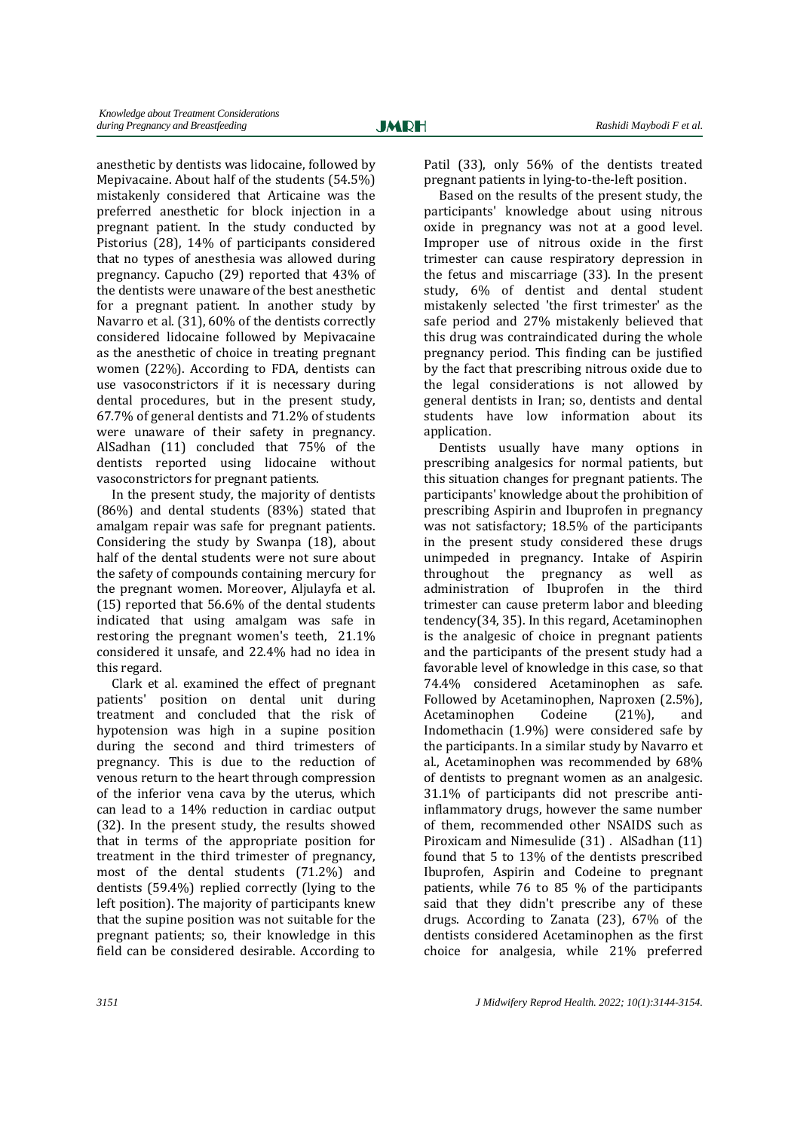anesthetic by dentists was lidocaine, followed by Mepivacaine. About half of the students  $(54.5\%)$ mistakenly considered that Articaine was the preferred anesthetic for block injection in a pregnant patient. In the study conducted by Pistorius (28), 14% of participants considered that no types of anesthesia was allowed during pregnancy. Capucho (29) reported that 43% of the dentists were unaware of the best anesthetic for a pregnant patient. In another study by Navarro et al. (31), 60% of the dentists correctly considered lidocaine followed by Mepivacaine as the anesthetic of choice in treating pregnant women  $(22%)$ . According to FDA, dentists can use vasoconstrictors if it is necessary during dental procedures, but in the present study, 67.7% of general dentists and 71.2% of students were unaware of their safety in pregnancy. AlSadhan (11) concluded that 75% of the dentists reported using lidocaine without vasoconstrictors for pregnant patients.

In the present study, the majority of dentists  $(86%)$  and dental students  $(83%)$  stated that amalgam repair was safe for pregnant patients. Considering the study by Swanpa  $(18)$ , about half of the dental students were not sure about the safety of compounds containing mercury for the pregnant women. Moreover, Aljulayfa et al. (15) reported that  $56.6\%$  of the dental students indicated that using amalgam was safe in restoring the pregnant women's teeth,  $21.1\%$ considered it unsafe, and 22.4% had no idea in this regard.

Clark et al. examined the effect of pregnant patients' position on dental unit during treatment and concluded that the risk of hypotension was high in a supine position during the second and third trimesters of pregnancy. This is due to the reduction of venous return to the heart through compression of the inferior vena cava by the uterus, which can lead to a 14% reduction in cardiac output (32). In the present study, the results showed that in terms of the appropriate position for treatment in the third trimester of pregnancy, most of the dental students (71.2%) and dentists  $(59.4%)$  replied correctly (lying to the left position). The majority of participants knew that the supine position was not suitable for the pregnant patients; so, their knowledge in this field can be considered desirable. According to

Patil (33), only 56% of the dentists treated pregnant patients in lying-to-the-left position.

Based on the results of the present study, the participants' knowledge about using nitrous oxide in pregnancy was not at a good level. Improper use of nitrous oxide in the first trimester can cause respiratory depression in the fetus and miscarriage  $(33)$ . In the present study, 6% of dentist and dental student mistakenly selected 'the first trimester' as the safe period and 27% mistakenly believed that this drug was contraindicated during the whole pregnancy period. This finding can be justified by the fact that prescribing nitrous oxide due to the legal considerations is not allowed by general dentists in Iran; so, dentists and dental students have low information about its application.

Dentists usually have many options in prescribing analgesics for normal patients, but this situation changes for pregnant patients. The participants' knowledge about the prohibition of prescribing Aspirin and Ibuprofen in pregnancy was not satisfactory; 18.5% of the participants in the present study considered these drugs unimpeded in pregnancy. Intake of Aspirin throughout the pregnancy as well as administration of Ibuprofen in the third trimester can cause preterm labor and bleeding  $t$ endency(34, 35). In this regard, Acetaminophen is the analgesic of choice in pregnant patients and the participants of the present study had a favorable level of knowledge in this case, so that 74.4% considered Acetaminophen as safe. Followed by Acetaminophen, Naproxen (2.5%), Acetaminophen Codeine (21%), and Indomethacin  $(1.9\%)$  were considered safe by the participants. In a similar study by Navarro et al., Acetaminophen was recommended by 68% of dentists to pregnant women as an analgesic. 31.1% of participants did not prescribe antiinflammatory drugs, however the same number of them, recommended other NSAIDS such as Piroxicam and Nimesulide (31) . AlSadhan (11) found that 5 to 13% of the dentists prescribed Ibuprofen, Aspirin and Codeine to pregnant patients, while  $76$  to  $85%$  of the participants said that they didn't prescribe any of these drugs. According to Zanata  $(23)$ ,  $67\%$  of the dentists considered Acetaminophen as the first choice for analgesia, while 21% preferred 

Ī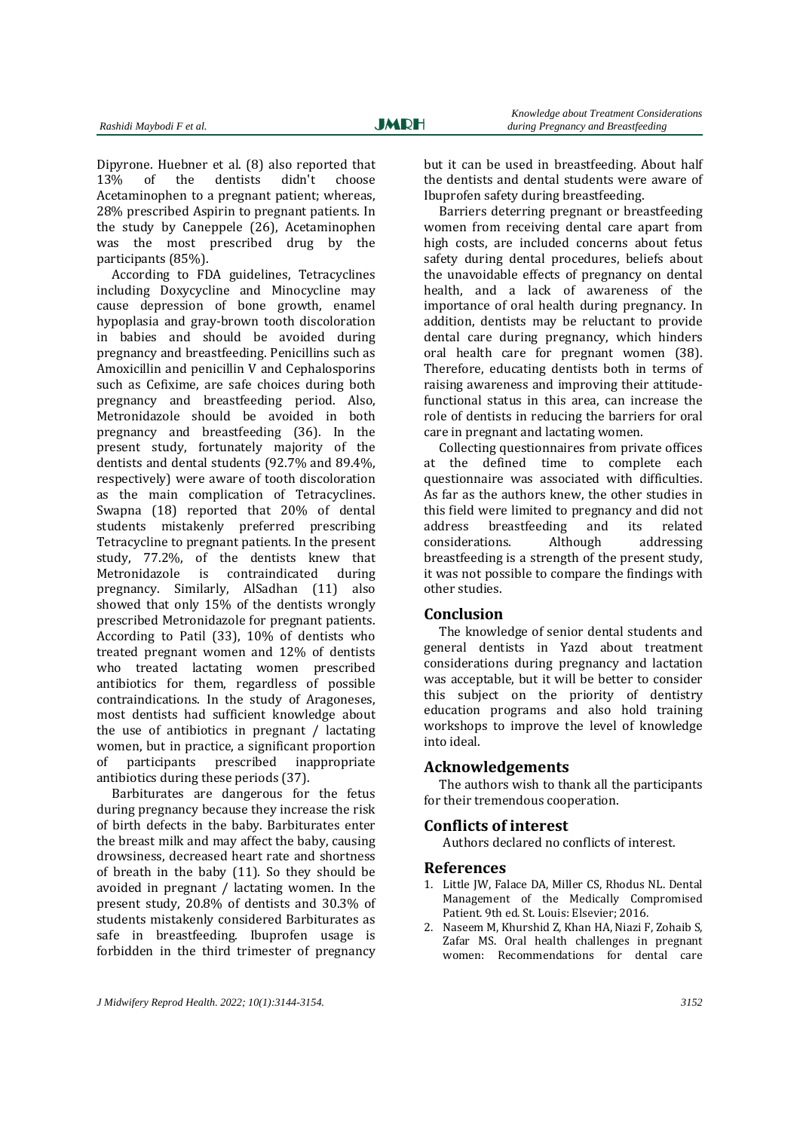Dipyrone. Huebner et al.  $(8)$  also reported that 13% of the dentists didn't choose 13% of the dentists didn't choose Acetaminophen to a pregnant patient; whereas, 28% prescribed Aspirin to pregnant patients. In the study by Caneppele (26), Acetaminophen was the most prescribed drug by the participants (85%).

According to FDA guidelines, Tetracyclines including Doxycycline and Minocycline may cause depression of bone growth, enamel hypoplasia and gray-brown tooth discoloration in babies and should be avoided during pregnancy and breastfeeding. Penicillins such as Amoxicillin and penicillin  $V$  and Cephalosporins such as Cefixime, are safe choices during both pregnancy and breastfeeding period. Also, Metronidazole should be avoided in both pregnancy and breastfeeding (36). In the present study, fortunately majority of the dentists and dental students  $(92.7\%$  and  $89.4\%$ . respectively) were aware of tooth discoloration as the main complication of Tetracyclines. Swapna (18) reported that 20% of dental students mistakenly preferred prescribing Tetracycline to pregnant patients. In the present study, 77.2%, of the dentists knew that Metronidazole is contraindicated during pregnancy. Similarly, AlSadhan (11) also showed that only 15% of the dentists wrongly prescribed Metronidazole for pregnant patients. According to Patil  $(33)$ ,  $10\%$  of dentists who treated pregnant women and 12% of dentists who treated lactating women prescribed antibiotics for them, regardless of possible contraindications. In the study of Aragoneses, most dentists had sufficient knowledge about the use of antibiotics in pregnant  $/$  lactating women, but in practice, a significant proportion of participants prescribed inappropriate antibiotics during these periods (37).

Barbiturates are dangerous for the fetus during pregnancy because they increase the risk of birth defects in the baby. Barbiturates enter the breast milk and may affect the baby, causing drowsiness, decreased heart rate and shortness of breath in the baby  $(11)$ . So they should be avoided in pregnant  $/$  lactating women. In the present study, 20.8% of dentists and 30.3% of students mistakenly considered Barbiturates as safe in breastfeeding. Ibuprofen usage is forbidden in the third trimester of pregnancy

but it can be used in breastfeeding. About half the dentists and dental students were aware of Ibuprofen safety during breastfeeding.

Barriers deterring pregnant or breastfeeding women from receiving dental care apart from high costs, are included concerns about fetus safety during dental procedures, beliefs about the unavoidable effects of pregnancy on dental health, and a lack of awareness of the importance of oral health during pregnancy. In addition, dentists may be reluctant to provide dental care during pregnancy, which hinders oral health care for pregnant women (38). Therefore, educating dentists both in terms of raising awareness and improving their attitudefunctional status in this area, can increase the role of dentists in reducing the barriers for oral care in pregnant and lactating women.

Collecting questionnaires from private offices the defined time to complete each questionnaire was associated with difficulties. As far as the authors knew, the other studies in this field were limited to pregnancy and did not address breastfeeding and its related considerations. Although addressing breastfeeding is a strength of the present study. it was not possible to compare the findings with other studies.

## **Conclusion**

The knowledge of senior dental students and general dentists in Yazd about treatment considerations during pregnancy and lactation was acceptable, but it will be better to consider this subject on the priority of dentistry education programs and also hold training workshops to improve the level of knowledge into ideal.

### **Acknowledgements**

The authors wish to thank all the participants for their tremendous cooperation.

### **Conflicts of interest**

Authors declared no conflicts of interest.

### **References**

- 1. Little JW, Falace DA, Miller CS, Rhodus NL. Dental Management of the Medically Compromised Patient. 9th ed. St. Louis: Elsevier: 2016.
- 2. Naseem M, Khurshid Z, Khan HA, Niazi F, Zohaib S, Zafar MS. Oral health challenges in pregnant women: Recommendations for dental care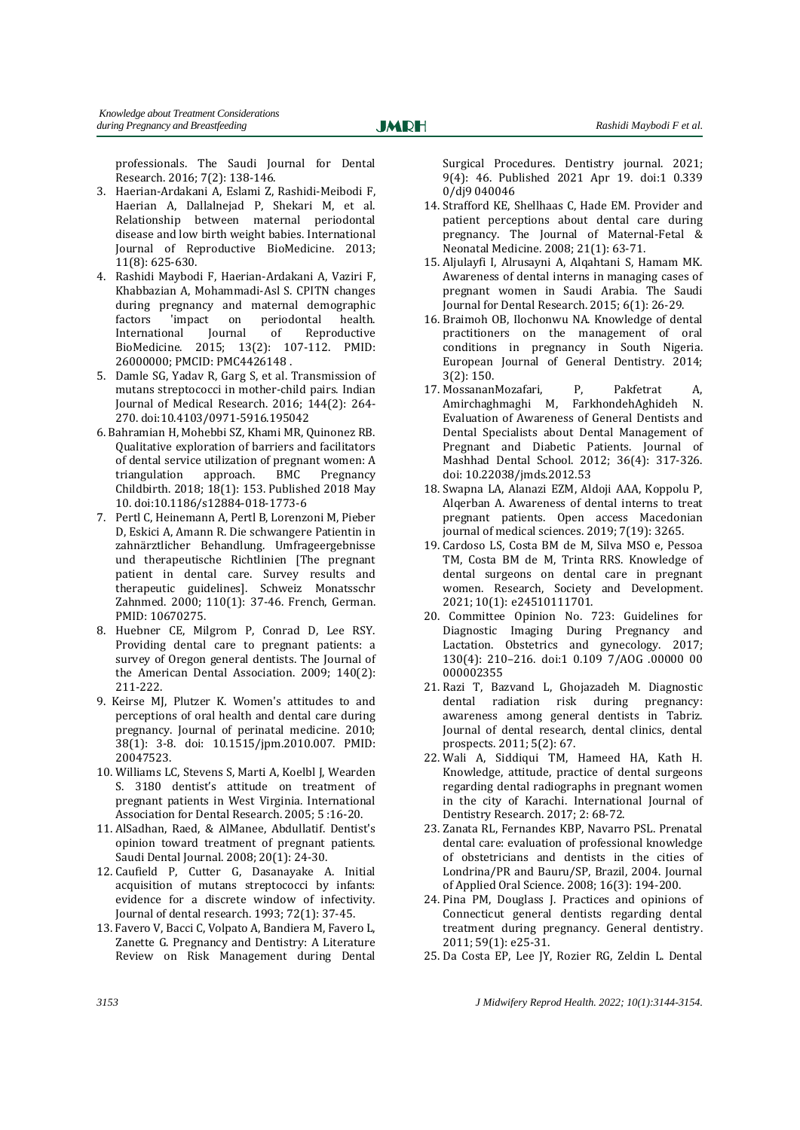**JMRH** 

Ī

professionals. The Saudi Journal for Dental Research. 2016: 7(2): 138-146.

- 3. Haerian-Ardakani A, Eslami Z, Rashidi-Meibodi F, Haerian A, Dallalnejad P, Shekari M, et al. Relationship between maternal periodontal disease and low birth weight babies. International Journal of Reproductive BioMedicine. 2013; 11(8): 625‐630.
- 4. Rashidi Maybodi F, Haerian-Ardakani A, Vaziri F, Khabbazian A, Mohammadi-Asl S, CPITN changes during pregnancy and maternal demographic factors 'impact on periodontal health.<br>International Journal of Reproductive International Journal of Reproductive BioMedicine. 2015: 13(2): 107-112. PMID: 26000000: PMCID: PMC4426148.
- 5. Damle SG, Yadav R, Garg S, et al. Transmission of mutans streptococci in mother-child pairs. Indian Journal of Medical Research. 2016; 144(2): 264-270. doi:10.4103/0971‐5916.195042
- 6. Bahramian H, Mohebbi SZ, Khami MR, Quinonez RB. Qualitative exploration of barriers and facilitators of dental service utilization of pregnant women: A triangulation approach. BMC Pregnancy Childbirth. 2018; 18(1): 153. Published 2018 May 10. doi:10.1186/s12884‐018‐1773‐6
- 7. Pertl C, Heinemann A, Pertl B, Lorenzoni M, Pieber D. Eskici A. Amann R. Die schwangere Patientin in zahnärztlicher Behandlung. Umfrageergebnisse und therapeutische Richtlinien [The pregnant patient in dental care. Survey results and therapeutic guidelines]. Schweiz Monatsschr Zahnmed. 2000; 110(1): 37-46. French, German. PMID: 10670275.
- 8. Huebner CE, Milgrom P, Conrad D, Lee RSY. Providing dental care to pregnant patients: a survey of Oregon general dentists. The Journal of the American Dental Association.  $2009$ ;  $140(2)$ : 211‐222.
- 9. Keirse MJ, Plutzer K. Women's attitudes to and perceptions of oral health and dental care during pregnancy. Journal of perinatal medicine. 2010; 38(1): 3‐8. doi: 10.1515/jpm.2010.007. PMID: 20047523.
- 10. Williams LC, Stevens S, Marti A, Koelbl J, Wearden S. 3180 dentist's attitude on treatment of pregnant patients in West Virginia. International Association for Dental Research. 2005; 5:16-20.
- 11. AlSadhan, Raed, & AlManee, Abdullatif. Dentist's opinion toward treatment of pregnant patients. Saudi Dental Journal. 2008; 20(1): 24-30.
- 12. Caufield P, Cutter G, Dasanayake A. Initial acquisition of mutans streptococci by infants: evidence for a discrete window of infectivity. Journal of dental research. 1993; 72(1): 37-45.
- 13. Favero V, Bacci C, Volpato A, Bandiera M, Favero L, Zanette G. Pregnancy and Dentistry: A Literature Review on Risk Management during Dental

Surgical Procedures. Dentistry journal. 2021; 9(4): 46. Published 2021 Apr 19. doi:1 0.339 0/dj9 040046 

- 14. Strafford KE, Shellhaas C, Hade EM. Provider and patient perceptions about dental care during pregnancy. The Journal of Maternal-Fetal & Neonatal Medicine. 2008; 21(1): 63-71.
- 15. Aljulayfi I, Alrusayni A, Alqahtani S, Hamam MK. Awareness of dental interns in managing cases of pregnant women in Saudi Arabia. The Saudi Journal for Dental Research. 2015; 6(1): 26-29.
- 16. Braimoh OB, Ilochonwu NA. Knowledge of dental practitioners on the management of oral conditions in pregnancy in South Nigeria. European Iournal of General Dentistry. 2014:  $3(2): 150.$
- 17. MossananMozafari, P, Pakfetrat A, Amirchaghmaghi M, FarkhondehAghideh N. Evaluation of Awareness of General Dentists and Dental Specialists about Dental Management of Pregnant and Diabetic Patients. Journal of Mashhad Dental School. 2012; 36(4): 317-326. doi: 10.22038/jmds.2012.53
- 18. Swapna LA, Alanazi EZM, Aldoji AAA, Koppolu P, Alqerban A. Awareness of dental interns to treat pregnant patients. Open access Macedonian iournal of medical sciences. 2019: 7(19): 3265.
- 19. Cardoso LS, Costa BM de M, Silva MSO e, Pessoa TM, Costa BM de M, Trinta RRS. Knowledge of dental surgeons on dental care in pregnant women. Research, Society and Development. 2021; 10(1): e24510111701.
- 20. Committee Opinion No. 723: Guidelines for Diagnostic Imaging During Pregnancy and Lactation. Obstetrics and gynecology. 2017; 130(4): 210–216. doi:1 0.109 7/AOG .00000 00 000002355
- 21. Razi T, Bazvand L, Ghojazadeh M. Diagnostic dental radiation risk during pregnancy: awareness among general dentists in Tabriz. Journal of dental research, dental clinics, dental prospects. 2011; 5(2): 67.
- 22. Wali A, Siddiqui TM, Hameed HA, Kath H. Knowledge, attitude, practice of dental surgeons regarding dental radiographs in pregnant women in the city of Karachi. International Journal of Dentistry Research. 2017; 2: 68-72.
- 23. Zanata RL, Fernandes KBP, Navarro PSL. Prenatal dental care: evaluation of professional knowledge of obstetricians and dentists in the cities of Londrina/PR and Bauru/SP, Brazil, 2004. Journal of Applied Oral Science. 2008; 16(3): 194-200.
- 24. Pina PM, Douglass J. Practices and opinions of Connecticut general dentists regarding dental treatment during pregnancy. General dentistry. 2011: 59(1): e25-31.
- 25. Da Costa EP, Lee JY, Rozier RG, Zeldin L. Dental

*3153 J Midwifery Reprod Health. 2022; 10(1):3144-3154.*